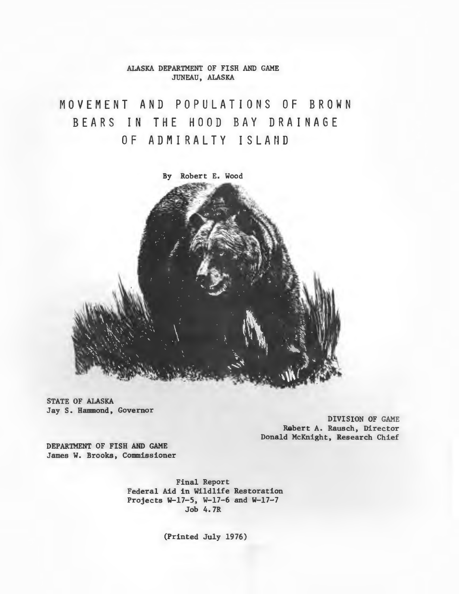ALASKA DEPARTMENT OF FISH AND GAME JUNEAU, ALASKA

MOVEMENT AND POPULATIONS OF BROWN BEARS IN THE HOOD BAY DRAINAGE OF ADMIRALTY ISLAND



STATE OF ALASKA Jay S. Hammond, Governor

> DIVISION OF GAME Rabert A. Rausch, Director Donald McKnight, Research Chief

DEPARTMENT OF FISH AND GAME James W. Brooks, Commissioner

> Final Report Federal Aid in Wildlife Restoration Projects W-17-5, W-17-6 and W-17-7 Job 4. 7R

> > (Printed July 1976)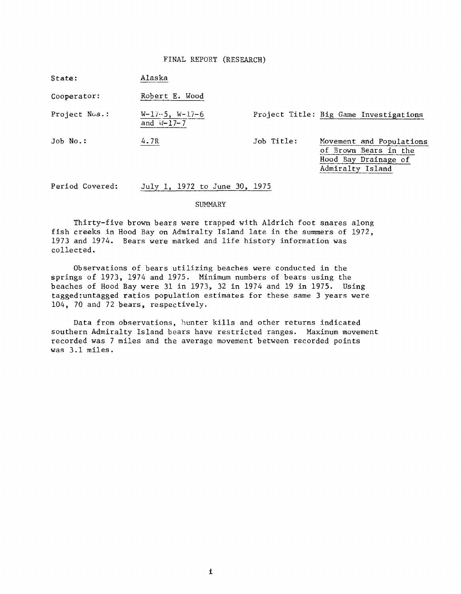# FINAL REPORT (RESEARCH)

| State:          | Alaska                              |            |                                                                                               |
|-----------------|-------------------------------------|------------|-----------------------------------------------------------------------------------------------|
| Cooperator:     | Robert E. Wood                      |            |                                                                                               |
| Project Nos.:   | $W-17-5$ , $W-17-6$<br>and $W-17-7$ |            | Project Title: Big Game Investigations                                                        |
| Job No.:        | 4.7R                                | Job Title: | Movement and Populations<br>of Brown Bears in the<br>Hood Bay Drainage of<br>Admiralty Island |
| Period Covered: | July 1, 1972 to June 30, 1975       |            |                                                                                               |

#### SUMMARY

Thirty-five brown bears were trapped with Aldrich foot snares along fish creeks in Hood Bay on Admiralty Island late in the summers of 1972, 1973 and 1974. Bears were marked and life history information was collected.

Observations of bears utilizing beaches were conducted in the springs of 1973, 1974 and 1975. Minimum numbers of bears using the beaches of Hood Bay were 31 in 1973, 32 in 1974 and 19 in 1975. Using tagged:untagged ratios population estimates for these same 3 years were 104, 70 and 72 bears, respectively.

Data from observations, hunter kills and other returns indicated southern Admiralty Island bears have restricted ranges. Maximum movement recorded was 7 miles and the average movement between recorded points was 3 .1 miles.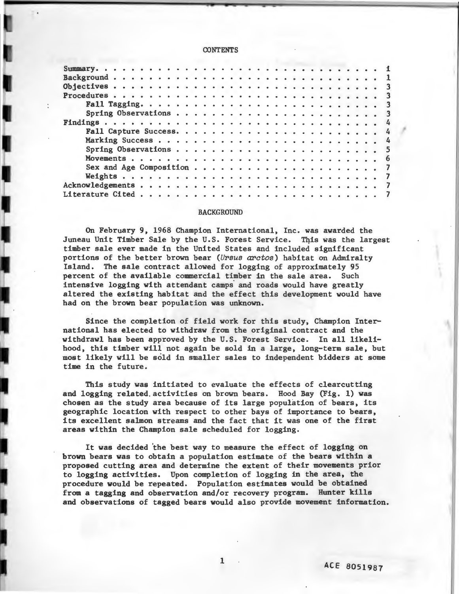## **CONTENTS**

#### **BACKGROUND**

On February 9, 1968 Champion International, Inc. was awarded the Juneau Unit Timber Sale by the U.S. Forest Service. This was the largest timber sale ever made in the United States and included significant portions of the better brown bear (U~sus *arctos)* habitat on Admiralty Island. The sale contract allowed for logging of approximately 95 percent of the available commercial timber in the sale area. Such intensive logging with attendant camps and roads would have greatly altered the existing habitat and the effect this development would have had on the brown bear population was unknown.

Since the completion of field work for this study, Champion International has elected to withdraw from the original contract and the withdrawl has been approved by the U.S. Forest Service. In all likelihood, this timber will not again be sold in a large, long-term sale, but most likely will be sold in smaller sales to independent bidders at some time in the future.

This study was initiated to evaluate the effects of clearcutting and logging related activities on brown bears. Hood Bay (Fig. 1) was chosen as the study area because of its large population of bears, its geographic location with respect to other bays of importance to bears, its excellent salmon streams and the fact that it was one of the first areas within the Champion sale scheduled for logging.

It was decided 'the best way to measure the effect of logging on brown bears was to obtain a population estimate of the bears within a proposed cutting area and determine the extent of their movements prior to logging activities. Upon completion of logging in the area, the procedure would be repeated. Population estimates would be obtained from a tagging and observation and/or recovery program. Hunter kills and observations of tagged bears would also provide movement information.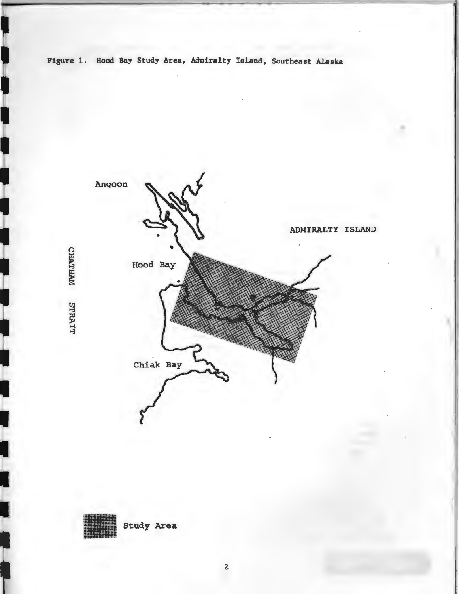Figure 1. Hood Bay Study Area, Admiralty Island, Southeast Alaska

Ш

 $\overline{\phantom{a}}$ 

L

Ĩ



Study Area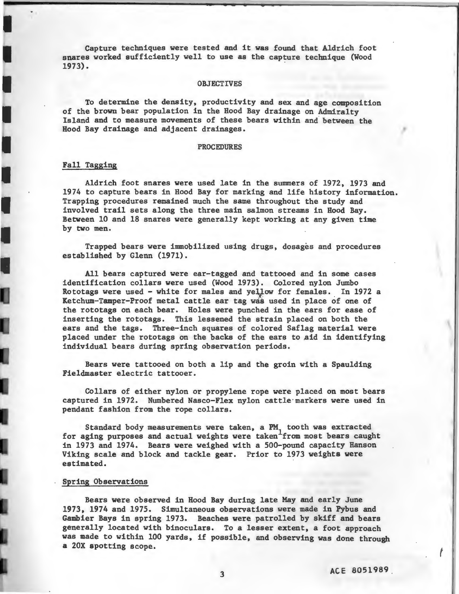Capture techniques were tested and it was found that Aldrich foot snares worked sufficiently well to use as the capture technique (Wood 1973). .

## **OBJECTIVES**

To determine the density, productivity and sex and age composition of the brown bear population in the Hood Bay drainage on Admiralty Island and to measure movements of these bears within and. between the Hood Bay drainage and adjacent drainages.

## PROCEDURES

## Fall Tagging

Aldrich foot snares were used late in the summers of 1972, 1973 and 1974 to capture bears in Hood Bay for marking and life history information. Trapping procedures remained much the same throughout the study and involved trail sets along the three main salmon streams in Hood Bay. Between 10 and 18 snares were generally kept working at any given time by two men.

Trapped bears were immobilized using drugs~ dosages and procedures established by Glenn (1971).

All bears captured were ear-tagged and tattooed and in some cases identification collars were used (Wood 1973). Colored nylon Jumbo Rototags were used - white for males and yellow for females. In 1972 a Ketchum-Tamper-Proof metal cattle ear tag was used in place of one of the rototags on each bear. Holes were punched in the ears for ease of inserting the rototags. This lessened the strain placed on both the ears and the tags. Three-inch squares of colored Saflag material were placed under the rototags on the backs of the ears to aid in identifying individual bears during spring observation periods.

Bears were tattooed on both a lip and the groin with a Spaulding Fieldmaster electric tattooer.

Collars of either nylon or propylene rope were placed on most bears captured in 1972. Numbered Nasco-Flex nylon cattle·markers were used in pendant fashion from the rope collars.

Standard body measurements were taken, a PM tooth was extracted for aging purposes and actual weights were taken from most bears caught in 1973 and 1974. Bears were weighed with a 500-pound capacity Hanson Viking scale and block and tackle gear. Prior to 1973 weights were estimated.

## Spring Observations

Bears were observed in Hood Bay during late May and early June 1973, 1974 and 1975. Simultaneous observations were made in Pybus and Gambier Bays in spring 1973. Beaches were patrolled by skiff and bears generally located with binoculars. To a lesser extent, a foot approach was made to within 100 yards, if possible, and observing was done through a 20X spotting scope.

f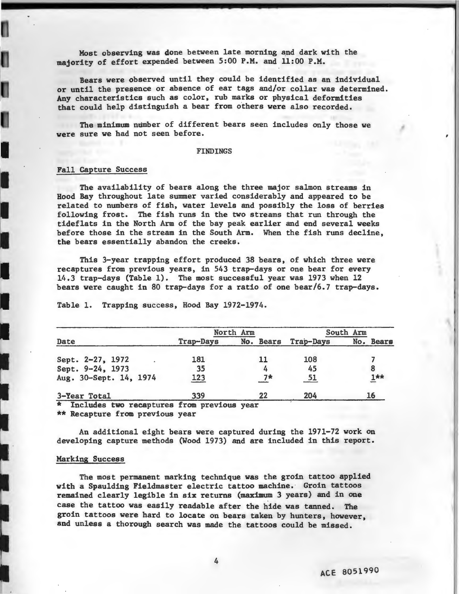Most observing was done between late morning and dark with the majority of effort expended between 5:00 P.M. and 11:00 P.M.

Bears were observed until they could be identified as an individual or until the presence or absence of ear tags and/or collar was determined. Any characteristics such as color, rub marks or physical deformities that could help distinguish a bear from others were also recorded.

The minimum number of different bears seen includes only those we were sure we had not seen before.

#### FINDINGS

# Fall Capture Success

---------

I

I

I

The availability of bears along the three major salmon streams in Hood Bay throughout late summer varied considerably and appeared to be related to numbers of fish, water levels and possibly the loss of berries following frost. The fish runs in the two streams that run through the tideflats in the North Arm of the bay peak earlier and end several weeks before those in the stream in the South Arm. When the fish runs decline, the bears essentially abandon the creeks.

This 3-year trapping effort produced 38 bears, of which three were recaptures from previous years, in 543 trap-days or one bear for every 14.3 trap-days (Table 1). The most successful year was 1973 when 12 bears were caught in 80 trap-days for a ratio of one bear/6.7 trap-days.

|                        |           | North Arm |           | South Arm                 |  |
|------------------------|-----------|-----------|-----------|---------------------------|--|
| Date                   | Trap-Days | No. Bears | Trap-Days | No. Bears                 |  |
| Sept. 2-27, 1972       | 181       |           | 108       |                           |  |
| Sept. 9-24, 1973       | 35        |           | 45        |                           |  |
| Aug. 30-Sept. 14, 1974 | 123       | <b>7*</b> |           | $\mathbf{I}^{\star\star}$ |  |
| 3-Year Total           | 339       | 22        | 204       | 16                        |  |

Table 1. Trapping success, Hood Bay 1972-1974.

\* Includes two recaptures from previous year

\*\* Recapture from previous year

An additional eight bears were captured during the 1971-72 work on developing capture methods (Wood 1973) and are included in this report.

## Marking Success

The most permanent marking technique was the groin tattoo applied with a Spaulding Fieldmaster electric tattoo machine. Groin tattoos remained clearly legible in six returns (maximum 3 years) and in one case the tattoo was easily readable after the hide was tanned. The groin tattoos were hard to locate on bears taken by hunters, however, and unless a thorough search was made the tattoos could be missed.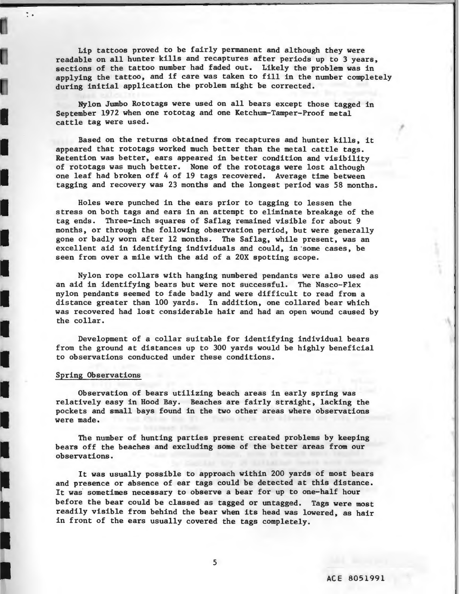Lip tattoos proved to be fairly permanent and although they were readable on all hunter kills and recaptures after periods up to 3 years, sections of the tattoo number had faded out. Likely the problem was in applying the tattoo, and if care was taken to fill in the number completely during initial application the problem might be corrected.

Nylon Jumbo Rototags were used on all bears except those tagged in September 1972 when one rototag and one Ketchum-Tamper-Proof metal cattle tag were used.

Based on the returns obtained from recaptures and hunter kills, it<br>appeared that rototags worked much better than the metal cattle tags.<br>Retention was better, ears appeared in better condition and visibility appeared that rototags worked much better than the metal cattle tags. Retention was better, ears appeared in better condition and visibility of rototags was much better. None of the rototags were lost although Or recocags was made better. None of the recocags were rost affined in<br>tagging and recovery was 23 months and the longest period was 58 months.

Holes were punched in the ears prior to tagging to lessen the stress on both tags and ears in an attempt to eliminate breakage of the tagging to stress on both tags and ears in an attempt to eliminate breakage of the tag ends. Three-inch squares of Saflag remained visible for about 9 months, or through the following observation period, but were generally gone or badly worn after 12 months. The Saflag, while present, was an excellent aid in identifying individuals and could, in'some cases, be seen from over a mile with the aid of a 20X spotting scope.

> Nylon rope collars with hanging numbered pendants were also used as an aid in identifying bears but were not successful. The Nasco-Flex nylon pendants seemed to fade badly and were difficult to read from a distance greater than 100 yards. In addition, one collared bear which was recovered had lost considerable hair and had an open wound caused by the collar.

Development of a collar suitable for identifying individual bears from the ground at distances up to 300 yards would be highly beneficial to observations conducted under these conditions.

## Spring Observations

..

I

I

I

I

•

I

I

Observation of bears utilizing beach areas in early spring was relatively easy in Hood Bay. Beaches are fairly straight, lacking the pockets and small bays found in the two other areas where observations were made.

The number of hunting parties present created problems by keeping bears off the beaches and excluding some of the better areas from our observations.

It was usually possible to approach within 200 yards of most bears and presence or absence of ear tags could be detected at this distance. It was sometimes necessary to observe a bear for up to one-half hour before the bear could be classed as tagged or untagged. Tags were most readily visible from behind the bear when its head was lowered, as hair in front of the ears usually covered the tags completely.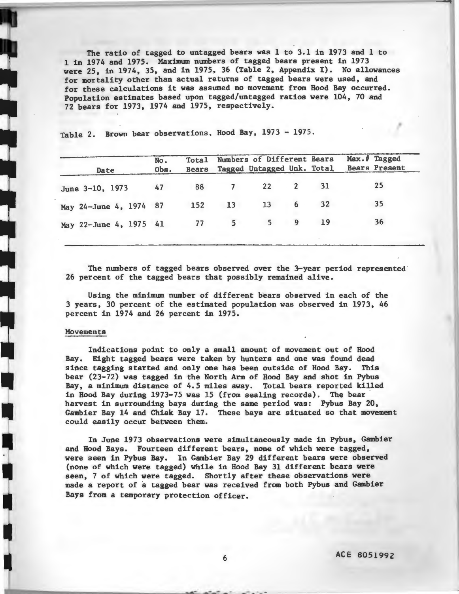The ratio of tagged to untagged bears was 1 to 3.1 in 1973 and 1 to 1 in 1974 and 1975. Maximum numbers of tagged bears present in 1973 were 25, in 1974, 35, and in 1975, 36 (Table 2, Appendix I). No allowances for mortality other than actual returns of tagged bears were used, and for these calculations it was assumed no movement from Hood Bay occurred. Population estimates based upon tagged/untagged ratios were 104, 70 and 72 bears for 1973, 1974 and 1975, respectively.

Date No. Obs. Total Bears Numbers of Different Bears Tagged Untagged Unk. Total Max.# Tagged Bears Present June 3-10, 1973 47 88 7 22 2 31 25 May 24-June 4, 1974 87 152 13 13 6 32 35 May 22-June 4, 1975 41 77 5 5 9 19 36

Table 2. Brown bear observations, Hood Bay, 1973 - 1975.

The numbers of tagged bears observed over the 3-year period represented· 26 percent of the tagged bears that possibly remained alive.

Using the minimum number of different bears observed in each of the 3 years, 30 percent of the estimated population was observed in 1973, 46 percent in 1974 and 26 percent in 1975.

## Movements

I

Indications point to only a small amount of movement out of Hood Bay. Eight tagged bears were taken by hunters and one was found dead since tagging started and only one has been outside of Hood Bay. This bear (23-72) was tagged in the North Arm of Hood Bay and shot in Pybus Bay, a minimum distance of 4.5 miles away. Total bears reported killed in Hood Bay during 1973-75 was 15 (from sealing records). The bear · harvest in surrounding bays during the same period was: Pybus Bay 20, Gambier Bay 14 and Chiak Bay 17. These bays are situated so that movement could easily occur between them.

In June 1973 observations were simultaneously made in Pybus, Gambier and Hood Bays. Fourteen different bears, none of which were tagged, were seen in Pybus Bay. In Gambier Bay 29 different bears were observed (none of which were tagged) while in Hood Bay 31 different bears were seen, 7 of which were tagged. Shortly after these observations were made a report of a tagged bear was received from both Pybus and Gambier Bays from a temporary protection officer.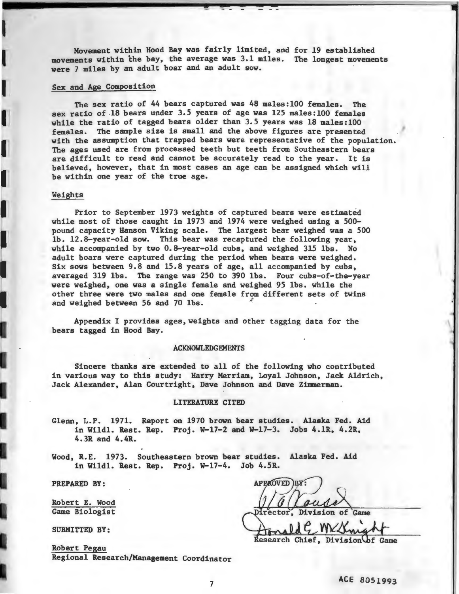Movement within Hood Bay was fairly limited. and for 19 established movements within the bay. the average was 3.1 miles. The longest movements were 7 miles by an adult boar and an adult sow.

#### Sex and Age Composition

The sex ratio of 44 bears captured was 48 males: 100 females. The sex ratio of .18 bears under 3.5 years of age was 125 males:lOO females while the ratio of tagged bears older than 3.5 years was 18 males: 100 females. The sample size is small and the above figures are presented with the assumption that trapped bears were representative of the population. The ages used are from processed teeth but teeth from Southeastern bears are difficult to read and cannot be accurately read to the year. It is believed. however. that in most cases an age can be assigned which will be within one year of the true age.

### Weights

 $\blacksquare$ 

Prior to September 1973 weights of captured bears were estimated while most of those caught in 1973 and 1974 were weighed using a 500 pound capacity Hanson Viking scale. The largest bear weighed was a 500 lb. 12.8-year-old sow. This bear was recaptured the following year, while accompanied by two 0.8-year-old cubs, and weighed 315 lbs. No adult boars were captured during the period when bears were weighed. Six sows between 9.8 and 15.8 years of age, all accompanied by cubs, averaged 319 lbs. The range was 250 to 390 lbs. Four cubs-of-the-year were weighed, one was a single female and weighed 95 lbs. while the other three were two males and one female from different sets of twins and weighed between 56 and 70 lbs.

Appendix I provides ages, weights and other tagging data for the bears tagged in Hood Bay.

### ACKNOWLEDGEMENTS

Sincere thanks are extended to all of the following who contributed in various way to this study: Harry Merriam. Loyal Johnson, Jack Aldrich, Jack Alexander, Alan Courtright. Dave Johnson and Dave Zimmerman.

#### LITERATURE CITED

Glenn, L.P. 1971. Report on 1970 brown bear studies. Alaska Fed. Aid in Wildl. Rest. Rep. Proj. W-17-2 and W-17-3. Jobs 4.1R, 4.2R, 4.3R and 4.4R.

Wood, R.E. 1973. Southeastern brown bear studies. Alaska Fed. Aid in Wildl. Rest. Rep. Proj.  $W-17-4$ . Job 4.5R.

PREPARED BY:

Robert E. Wood

SUBMITTED BY:

Robert Pegau Regional Research/Management Coordinator

**APPROVED BY:** Game Biologist **receives rector**, Division of Game \ MCC

Research Chief, Division of Game

I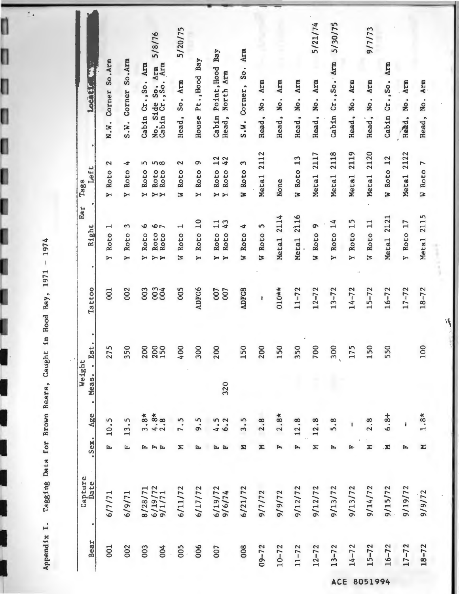Appendix I. Tagging Data for Brown Bears, Caught in Hood Bay, 1971 - 1974

 $\overline{\phantom{a}}$  .

n

O

ŋ

O

I

| Bear                            | 001                                       | 002                                | 003                                        | 004                                                             |                                                  | 005 | 006                                 | 007                                                                                  | 008                                  | $09 - 72$        | $10 - 72$                 | $11 - 72$           | $12 - 72$                                  | $13 - 72$                           | $14 - 72$                   | $15 - 72$                     | $16 - 72$               | $17 - 72$                                   | $18 - 72$     |
|---------------------------------|-------------------------------------------|------------------------------------|--------------------------------------------|-----------------------------------------------------------------|--------------------------------------------------|-----|-------------------------------------|--------------------------------------------------------------------------------------|--------------------------------------|------------------|---------------------------|---------------------|--------------------------------------------|-------------------------------------|-----------------------------|-------------------------------|-------------------------|---------------------------------------------|---------------|
| Capture<br>Date                 | 6/7/71                                    | 6/9/71                             |                                            | 8/28/71<br>6/19/72<br>9/1/71                                    | 6/11/72                                          |     | 6/17/72                             | 6/19/72<br>9/6/74                                                                    | 6/21/72                              | 9/7/72           | 9/9/72                    | 9/12/72             | 9/12/72                                    | 9/13/72                             | 9/13/72                     | 9/14/72                       | 9/15/72                 | 9/19/72                                     | 9/9/72        |
| .Sex.                           | ſ.                                        | Ŀ,                                 |                                            | ľщ.                                                             |                                                  | Σ   | ĵ۳,                                 | ſ.<br>f»                                                                             | Σ                                    | N                | ĵ۳,                       | $\mathbf{L}_1$      | N                                          | ſщ.                                 | 匞                           | Σ                             | Ń                       | ſц,                                         |               |
| Age                             | 10.5                                      | m<br>13.                           | $3.8*$                                     | $4.8*$<br>2.8                                                   |                                                  |     | 9.5                                 |                                                                                      |                                      | 2.8              | $2.8*$                    | 12.8                | 12.8                                       | 5.8                                 |                             | 2.8                           | $6.8 +$                 |                                             | $1.8*$        |
| Meas.<br>$\bullet$              |                                           |                                    |                                            |                                                                 |                                                  |     |                                     | 320                                                                                  |                                      |                  |                           |                     |                                            |                                     |                             |                               |                         |                                             |               |
| ٠<br>Est<br>Weight<br>$\bullet$ | 275                                       | 350                                | 200                                        | 2000                                                            | 400                                              |     | 300                                 | 200                                                                                  | 150                                  | 200              | 150                       | 350                 | 700                                        | 300                                 | 175                         | 150                           | 550                     |                                             | 100           |
| Tattoo                          | 001                                       | 002                                | 003                                        | 0024                                                            | 005                                              |     | <b>ADFG6</b>                        | 007<br>007                                                                           | <b>ADFG8</b>                         | ł                | $010**$                   | $11 - 72$           | $12 - 72$                                  | $13 - 72$                           | $14 - 72$                   | $15 - 72$                     | $16 - 72$               | $17 - 72$                                   | $18 - 72$     |
| Ear<br>Right                    | $\blacksquare$<br>Roto<br>$\ddot{ }$      | 3<br>Roto<br>$\blacktriangleright$ | $\bullet$<br>Roto<br>$\blacktriangleright$ | ۰<br>$\overline{ }$<br>Roto<br>Roto<br>$\triangleright$<br>Y    | $\mathrel{\blacksquare}$<br>Roto<br>$\mathbf{z}$ |     | 10<br>Roto<br>$\blacktriangleright$ | $\mathbf{1}$<br>43<br>Roto<br>Roto<br>$\blacktriangleright$<br>$\blacktriangleright$ | 4<br>Roto<br>$\overline{\mathbf{z}}$ | 5<br>W Roto      | 2114<br>Meta <sub>1</sub> | 2116<br>Metal       | $\circ$<br>Roto<br>$\overline{\mathbf{z}}$ | 14<br>Roto<br>$\blacktriangleright$ | Roto 15<br>$\triangleright$ | $\mathbf{1}$<br>W Roto        | 2121<br>Metal           | $\overline{17}$<br>Roto<br>$\triangleright$ | 2115<br>Meta1 |
| Left<br>Tags                    | 2<br><b>Roto</b><br>$\blacktriangleright$ | 4<br>Roto<br>$\triangleright$      | S<br>Roto<br>$\blacktriangleright$         | 100<br>Roto<br>Roto<br>$\rightarrow$                            | 2<br>Roto<br>E                                   |     | G<br>Roto<br>$\blacktriangleright$  | 12<br>42<br>Roto<br>Roto<br>$\triangleright$<br>$\blacktriangleright$                | S<br>W Roto                          | Metal 2112       | None                      | W Roto 13           | 2117<br>Meta <sub>1</sub>                  | 2118<br>Meta <sub>1</sub>           | 2119<br>Metal               | 2120<br>Meta <sub>1</sub>     | 12<br>W Roto            | 2122<br>Meta <sub>1</sub>                   | W Roto 7      |
| Location                        | So.Arm<br>Corner<br>$N \cdot M$ .         | So.Arm<br>Corner<br>S.W.           | Arm<br>Cabin Cr., So.                      | 5/8/76<br>Arm<br>No. Side So. Arm<br>Cabin Cr., So. Arm<br>Side | 5/20/75<br>So. Arm<br>Head,                      |     | Bay<br>Pt., Hood<br>House           | Cabin Point, Hood Bay<br>North Arm<br>Head,                                          | So. Arm<br>S.W. Corner,              | Arm<br>Head, No. | Arm<br>No.<br>Head,       | Arm<br>No.<br>Head, | 5/21/74<br>Arm<br>No.<br>Head,             | 5/30/75<br>Cabin Cr., So. Arm       | Arm<br>No.<br>Head,         | 9/7/73<br>Arm<br>No.<br>Head, | Arm<br>Cr.350.<br>Cabin | Arm<br>No.<br>Head,                         | Head,         |

 $\mathcal{A}$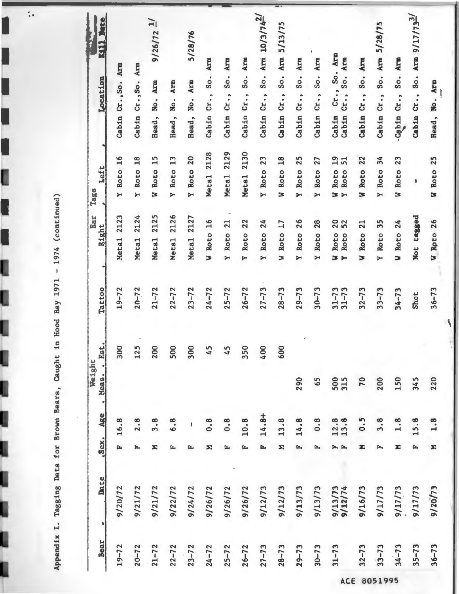Appendix I. Tagging Data for Brown Bears, Caught in Hood Bay 1971 - 1974 (continued)

 $\ddot{\cdot}$ 

ſ

I

I

ı

| Bear                 | Date               |     | Sex. Age . Meas. | Weight     | Est.           | Tattoo                 | Ear<br>Right<br>۳                          | Left<br>Tags                                               | <b>KIIL Date</b><br>おもの きかん すいこく<br>Location                              |
|----------------------|--------------------|-----|------------------|------------|----------------|------------------------|--------------------------------------------|------------------------------------------------------------|---------------------------------------------------------------------------|
| $19 - 72$            | 9/20/72            |     | 16.8             |            | 300            | $19 - 72$              | Metal 2123                                 | Y Roto 16                                                  | Cabin Cr., So. Arm                                                        |
| $20 - 72$            | 9/21/72            | ſz, |                  |            | 125            | $20 - 72$              | 2124<br>Meta <sub>1</sub>                  | Y Roto 18                                                  | Cabin Cr., So. Arm                                                        |
| $21 - 72$            | 9/21/72            | Σ   | 3.8              |            | 200            | $21 - 72$              | 2125<br>Meta <sub>1</sub>                  | 15<br>W Roto                                               | $9/26/72$ $\frac{1}{ }$<br>Arm<br>No.<br>Head,                            |
| $22 - 72$            | 9/22/72            |     | 6.8              |            | 500            | $22 - 72$              | 2126<br><b>Metal</b>                       | Roto 13<br>$\blacktriangleright$                           | Arm<br>No.<br>Head,                                                       |
| $23 - 72$            | 9/24/72            |     |                  |            | 300            | $23 - 72$              | Metal 2127                                 | Y Roto 20                                                  | 5/28/76<br>Arm<br>No.<br>Head,                                            |
| $24 - 72$            | 9/26/72            | Σ   | 0.8              |            | 45             | $24 - 72$              | W Roto 16                                  | Metal 2128                                                 | Arm<br>So.<br>Cabin Cr.,                                                  |
| $25 - 72$            | 9/26/72            | ſz, | 0.8              |            | 45             | $25 - 72$              | ÷<br>Y Roto 21                             | Metal 2129                                                 | Arm<br>$\overline{\text{S}}\text{o}$ .<br>Cabin Cr.,                      |
| $26 - 72$            | 9/26/72            |     | 10.8             |            | 350            | $26 - 72$              | 22<br>Roto<br>$\blacktriangleright$        | Metal 2130                                                 | Arm<br>$S_{\rm O}$ .<br>$c_{r}$ .,<br>Cabin                               |
| $27 - 73$            | 9/12/73            | Ľ   | $14.8+$          |            | 400            | $27 - 73$              | 24<br>Roto<br>$\blacktriangleright$        | 23<br>Y Roto                                               | $10/3/74^{2/3}$<br>Arm<br>$\overline{\text{S}}\text{o}$ .<br>Cr.<br>Cabin |
| $28 - 73$            | 9/12/73            | Σ   | 13.8             |            | 600            | $28 - 73$              | 17<br>Roto<br>Þ                            | 18<br>Roto<br>Þ                                            | 5/13/75<br>Arm<br>$\overline{\text{S}}\text{o}$ .<br>cr.,<br>Cabin        |
| $29 - 73$            | 9/13/73            | ſz, | 14.8             | 290        | $\mathfrak{c}$ | $29 - 73$              | 26<br>Roto<br>$\blacktriangleright$        | Y Roto 25                                                  | Arm<br>$\overline{\text{S}}\text{o}$ .<br>Cabin Cr.,                      |
| $30 - 73$            | 9/13/73            | ſ×, | 0.3              | 65         |                | $30 - 73$              | 28<br>Roto<br>$\triangleright$             | 27<br>Y Roto                                               | Arm<br>50.<br>Cabin Cr.,                                                  |
| $31 - 73$<br>ACE     | 9/13/73<br>9/12/74 |     | $12.8$<br>$13.8$ | 500<br>315 |                | $31 - 73$<br>$31 - 73$ | 20<br>52<br>Roto<br>Roto<br>3 <sub>M</sub> | $19$<br>$51$<br>Roto<br>Roto<br>Þ<br>$\blacktriangleright$ | Arm<br>Arm<br>So.<br>Cr., So.<br>cr.,<br>Cabin<br>Cabin                   |
| $32 - 73$            | 9/16/73            | X.  | 0.5              | 70         |                | $32 - 73$              | 21<br>W Roto                               | 22<br>Roto<br>Þ                                            | Arm<br>$\mathsf{S}\circ\mathsf{.}$<br>Cabin Cr.,                          |
| $33 - 73$<br>8051995 | 9/17/73            |     | 3.8              | 200        |                | $33 - 73$              | 35<br>Roto<br>$\blacktriangleright$        | 34<br>Roto<br>$\blacktriangleright$                        | Arm 5/28/75<br>$S_{\rm O}$ .<br>Cr.<br>Cabin                              |
| $34 - 73$            | 9/17/73            | Σ   | 1.8              | 150        |                | $34 - 73$              | W Roto 24                                  | 23<br>Roto<br>E                                            | Arm<br><b>So.</b><br>$c_{x}$ .,<br>urquo-                                 |
| $35 - 73$            | 9/17/73            | ſ.  | 15.8             | 345        |                | Shot                   | Not tagged                                 | ł                                                          | Cabin Cr., So. Arm $9/17/73^{2/7}$                                        |
| $36 - 73$            | 9/20/73            | Σ   | 1.8              | 220        |                | $36 - 73$              | W Roto 26                                  | W Roto 25                                                  | Head, No. Arm<br>مهنوة                                                    |